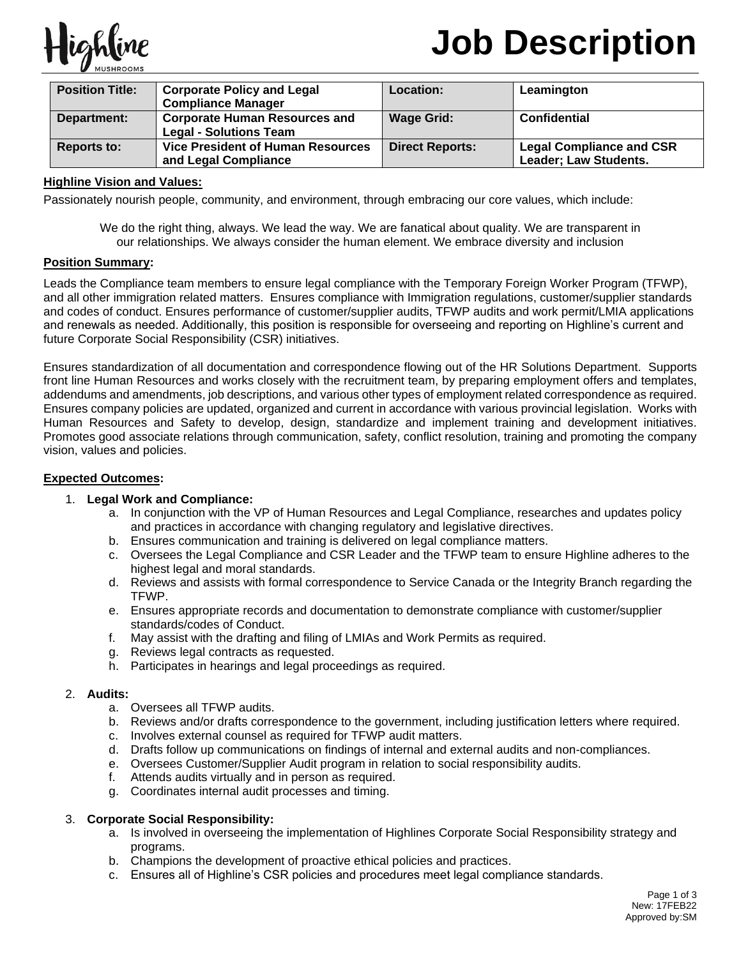

# **Job Description**

| <b>Position Title:</b> | <b>Corporate Policy and Legal</b><br><b>Compliance Manager</b>        | <b>Location:</b>       | Leamington                                               |
|------------------------|-----------------------------------------------------------------------|------------------------|----------------------------------------------------------|
| Department:            | <b>Corporate Human Resources and</b><br><b>Legal - Solutions Team</b> | <b>Wage Grid:</b>      | <b>Confidential</b>                                      |
| Reports to:            | <b>Vice President of Human Resources</b><br>and Legal Compliance      | <b>Direct Reports:</b> | <b>Legal Compliance and CSR</b><br>Leader; Law Students. |

# **Highline Vision and Values:**

Passionately nourish people, community, and environment, through embracing our core values, which include:

We do the right thing, always. We lead the way. We are fanatical about quality. We are transparent in our relationships. We always consider the human element. We embrace diversity and inclusion

# **Position Summary:**

Leads the Compliance team members to ensure legal compliance with the Temporary Foreign Worker Program (TFWP), and all other immigration related matters. Ensures compliance with Immigration regulations, customer/supplier standards and codes of conduct. Ensures performance of customer/supplier audits, TFWP audits and work permit/LMIA applications and renewals as needed. Additionally, this position is responsible for overseeing and reporting on Highline's current and future Corporate Social Responsibility (CSR) initiatives.

Ensures standardization of all documentation and correspondence flowing out of the HR Solutions Department. Supports front line Human Resources and works closely with the recruitment team, by preparing employment offers and templates, addendums and amendments, job descriptions, and various other types of employment related correspondence as required. Ensures company policies are updated, organized and current in accordance with various provincial legislation. Works with Human Resources and Safety to develop, design, standardize and implement training and development initiatives. Promotes good associate relations through communication, safety, conflict resolution, training and promoting the company vision, values and policies.

#### **Expected Outcomes:**

#### 1. **Legal Work and Compliance:**

- a. In conjunction with the VP of Human Resources and Legal Compliance, researches and updates policy and practices in accordance with changing regulatory and legislative directives.
- b. Ensures communication and training is delivered on legal compliance matters.
- c. Oversees the Legal Compliance and CSR Leader and the TFWP team to ensure Highline adheres to the highest legal and moral standards.
- d. Reviews and assists with formal correspondence to Service Canada or the Integrity Branch regarding the TFWP.
- e. Ensures appropriate records and documentation to demonstrate compliance with customer/supplier standards/codes of Conduct.
- f. May assist with the drafting and filing of LMIAs and Work Permits as required.
- g. Reviews legal contracts as requested.
- h. Participates in hearings and legal proceedings as required.

#### 2. **Audits:**

- a. Oversees all TFWP audits.
- b. Reviews and/or drafts correspondence to the government, including justification letters where required.
- c. Involves external counsel as required for TFWP audit matters.
- d. Drafts follow up communications on findings of internal and external audits and non-compliances.
- e. Oversees Customer/Supplier Audit program in relation to social responsibility audits.
- f. Attends audits virtually and in person as required.
- g. Coordinates internal audit processes and timing.

#### 3. **Corporate Social Responsibility:**

- a. Is involved in overseeing the implementation of Highlines Corporate Social Responsibility strategy and programs.
- b. Champions the development of proactive ethical policies and practices.
- c. Ensures all of Highline's CSR policies and procedures meet legal compliance standards.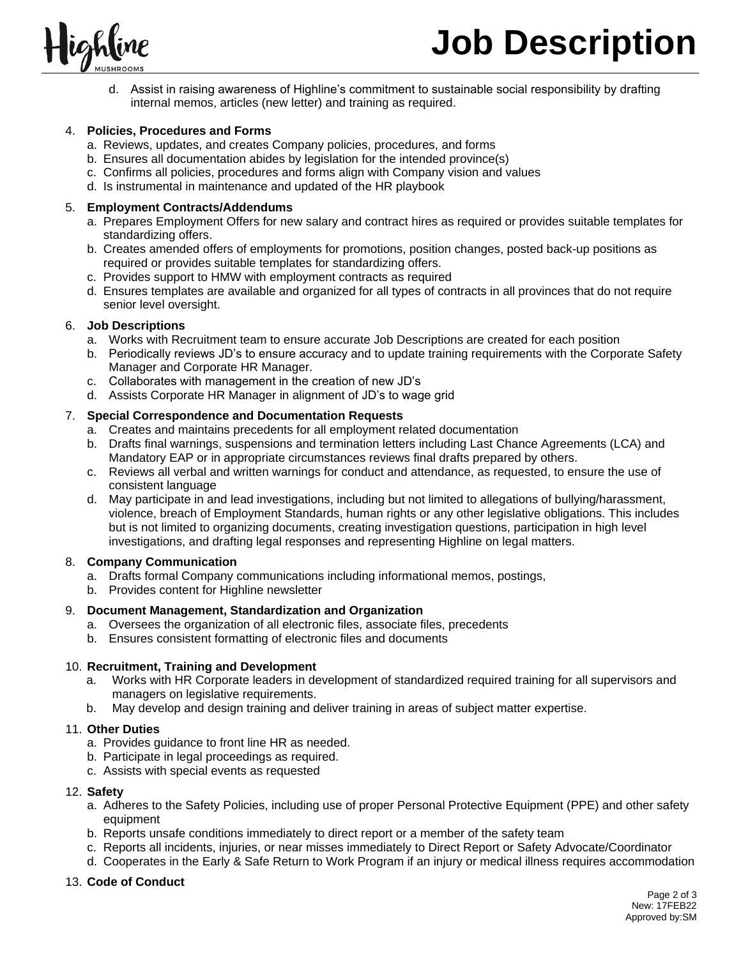

d. Assist in raising awareness of Highline's commitment to sustainable social responsibility by drafting internal memos, articles (new letter) and training as required.

# 4. **Policies, Procedures and Forms**

- a. Reviews, updates, and creates Company policies, procedures, and forms
- b. Ensures all documentation abides by legislation for the intended province(s)
- c. Confirms all policies, procedures and forms align with Company vision and values
- d. Is instrumental in maintenance and updated of the HR playbook

# 5. **Employment Contracts/Addendums**

- a. Prepares Employment Offers for new salary and contract hires as required or provides suitable templates for standardizing offers.
- b. Creates amended offers of employments for promotions, position changes, posted back-up positions as required or provides suitable templates for standardizing offers.
- c. Provides support to HMW with employment contracts as required
- d. Ensures templates are available and organized for all types of contracts in all provinces that do not require senior level oversight.

# 6. **Job Descriptions**

- a. Works with Recruitment team to ensure accurate Job Descriptions are created for each position
- b. Periodically reviews JD's to ensure accuracy and to update training requirements with the Corporate Safety Manager and Corporate HR Manager.
- c. Collaborates with management in the creation of new JD's
- d. Assists Corporate HR Manager in alignment of JD's to wage grid

# 7. **Special Correspondence and Documentation Requests**

- a. Creates and maintains precedents for all employment related documentation
- b. Drafts final warnings, suspensions and termination letters including Last Chance Agreements (LCA) and Mandatory EAP or in appropriate circumstances reviews final drafts prepared by others.
- c. Reviews all verbal and written warnings for conduct and attendance, as requested, to ensure the use of consistent language
- d. May participate in and lead investigations, including but not limited to allegations of bullying/harassment, violence, breach of Employment Standards, human rights or any other legislative obligations. This includes but is not limited to organizing documents, creating investigation questions, participation in high level investigations, and drafting legal responses and representing Highline on legal matters.

#### 8. **Company Communication**

- a. Drafts formal Company communications including informational memos, postings,
- b. Provides content for Highline newsletter

#### 9. **Document Management, Standardization and Organization**

- a. Oversees the organization of all electronic files, associate files, precedents
- b. Ensures consistent formatting of electronic files and documents

# 10. **Recruitment, Training and Development**

- a. Works with HR Corporate leaders in development of standardized required training for all supervisors and managers on legislative requirements.
- b. May develop and design training and deliver training in areas of subject matter expertise.

#### 11. **Other Duties**

- a. Provides guidance to front line HR as needed.
- b. Participate in legal proceedings as required.
- c. Assists with special events as requested

#### 12. **Safety**

- a. Adheres to the Safety Policies, including use of proper Personal Protective Equipment (PPE) and other safety equipment
- b. Reports unsafe conditions immediately to direct report or a member of the safety team
- c. Reports all incidents, injuries, or near misses immediately to Direct Report or Safety Advocate/Coordinator
- d. Cooperates in the Early & Safe Return to Work Program if an injury or medical illness requires accommodation

# 13. **Code of Conduct**